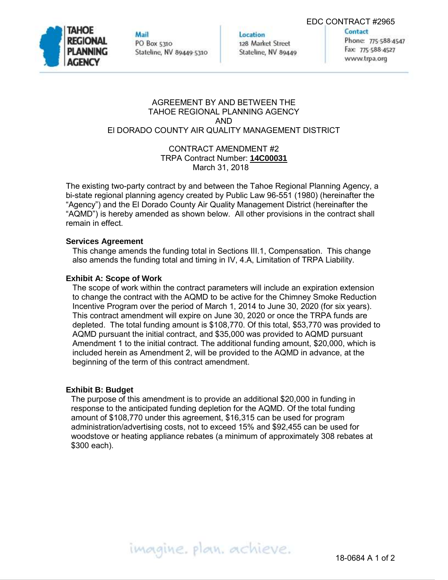EDC CONTRACT #2965



Mail PO Box 5310 Stateline, NV 89449-5310 Location 128 Market Street Stateline, NV 89449 Contact Phone: 775-588-4547 Fax: 775-588-4527 www.trpa.org

### AGREEMENT BY AND BETWEEN THE TAHOE REGIONAL PLANNING AGENCY AND El DORADO COUNTY AIR QUALITY MANAGEMENT DISTRICT

### CONTRACT AMENDMENT #2 TRPA Contract Number: **14C00031** March 31, 2018

The existing two-party contract by and between the Tahoe Regional Planning Agency, a bi-state regional planning agency created by Public Law 96-551 (1980) (hereinafter the "Agency") and the El Dorado County Air Quality Management District (hereinafter the "AQMD") is hereby amended as shown below. All other provisions in the contract shall remain in effect.

## **Services Agreement**

This change amends the funding total in Sections III.1, Compensation. This change also amends the funding total and timing in IV, 4.A, Limitation of TRPA Liability.

## **Exhibit A: Scope of Work**

The scope of work within the contract parameters will include an expiration extension to change the contract with the AQMD to be active for the Chimney Smoke Reduction Incentive Program over the period of March 1, 2014 to June 30, 2020 (for six years). This contract amendment will expire on June 30, 2020 or once the TRPA funds are depleted. The total funding amount is \$108,770. Of this total, \$53,770 was provided to AQMD pursuant the initial contract, and \$35,000 was provided to AQMD pursuant Amendment 1 to the initial contract. The additional funding amount, \$20,000, which is included herein as Amendment 2, will be provided to the AQMD in advance, at the beginning of the term of this contract amendment.

#### **Exhibit B: Budget**

The purpose of this amendment is to provide an additional \$20,000 in funding in response to the anticipated funding depletion for the AQMD. Of the total funding amount of \$108,770 under this agreement, \$16,315 can be used for program administration/advertising costs, not to exceed 15% and \$92,455 can be used for woodstove or heating appliance rebates (a minimum of approximately 308 rebates at \$300 each).

imagine. plan. achieve.